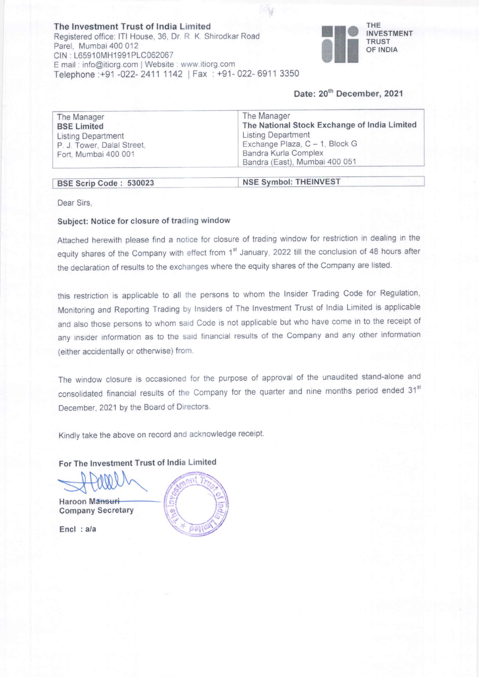The lnvestment Trust of lndia Limited Registered offlce: lTl House, 36, Dr. R K. Shirodkar Road Parel, Mumbai 400 012 CIN : L65910MH1991PLC062067 E mail: info@itiorg.com | Website : www.itiorg.com Telephone :+91 -022- 2411 1142 | Fax : +91- 022- 6911 3350



# Date: 20<sup>th</sup> December, 2021

| The Manager                | The Manager                                  |
|----------------------------|----------------------------------------------|
| <b>BSE Limited</b>         | The National Stock Exchange of India Limited |
| <b>Listing Department</b>  | <b>Listing Department</b>                    |
| P. J. Tower, Dalal Street, | Exchange Plaza, C - 1, Block G               |
| Fort, Mumbai 400 001       | Bandra Kurla Complex                         |
|                            | Bandra (East), Mumbai 400 051                |

#### BSE Scrip Code: 530023

#### NSE Svmbol: THEINVEST

写

Dear Sirs,

### Subject: Notice for closure of trading window

Attached herewith please find a notice for closure of trading window for restriction in dealing in the equity shares of the Company with effect from 1<sup>st</sup> January, 2022 till the conclusion of 48 hours after the declaration of results to the exchanges where the equity shares of the company are listed.

this restriction is applicable to all the persons to whom the Insider Trading Code for Regulation, Monitoring and Reporting Trading by Insiders of The Investment Trust of India Limited is applicable and also those persons to whom said Code is not applicable but who have come in to the receipt of any insider information as to the said financial results of the Company and any other information (either accidentally or otherwise) from

The window closure is occasioned for the purpose of approval of the unaudited stand-alone and consolidated financial results of the Company for the quarter and nine months period ended 31<sup>st</sup> December, 2021 by the Board of Directors.

Kindly take the above on record and acknowledge receipt.

## For The lnvestment Trust of lndia Limited

Haroon Mansuri Company Secretary

Encl : a/a